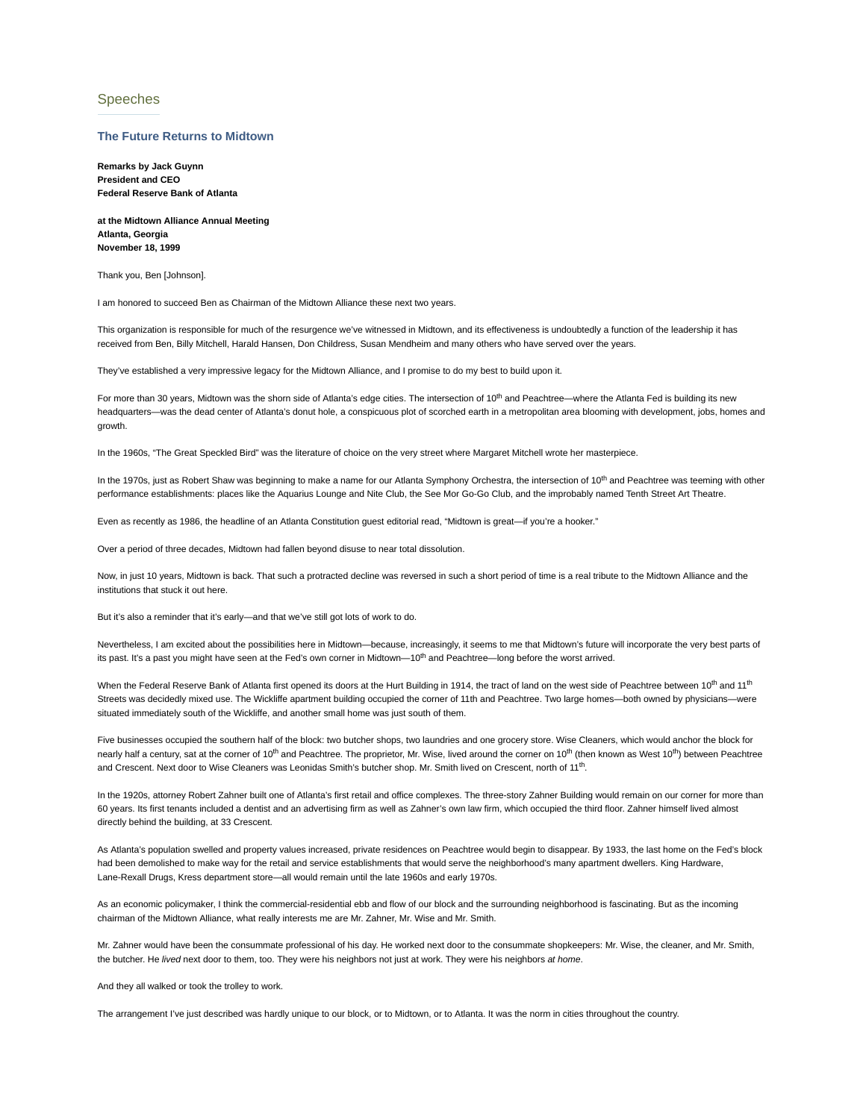## Speeches

## **The Future Returns to Midtown**

**Remarks by Jack Guynn President and CEO Federal Reserve Bank of Atlanta**

**at the Midtown Alliance Annual Meeting Atlanta, Georgia November 18, 1999**

Thank you, Ben [Johnson].

I am honored to succeed Ben as Chairman of the Midtown Alliance these next two years.

This organization is responsible for much of the resurgence we've witnessed in Midtown, and its effectiveness is undoubtedly a function of the leadership it has received from Ben, Billy Mitchell, Harald Hansen, Don Childress, Susan Mendheim and many others who have served over the years.

They've established a very impressive legacy for the Midtown Alliance, and I promise to do my best to build upon it.

For more than 30 years, Midtown was the shorn side of Atlanta's edge cities. The intersection of 10<sup>th</sup> and Peachtree—where the Atlanta Fed is building its new headquarters—was the dead center of Atlanta's donut hole, a conspicuous plot of scorched earth in a metropolitan area blooming with development, jobs, homes and growth.

In the 1960s, "The Great Speckled Bird" was the literature of choice on the very street where Margaret Mitchell wrote her masterpiece.

In the 1970s, just as Robert Shaw was beginning to make a name for our Atlanta Symphony Orchestra, the intersection of 10<sup>th</sup> and Peachtree was teeming with other performance establishments: places like the Aquarius Lounge and Nite Club, the See Mor Go-Go Club, and the improbably named Tenth Street Art Theatre.

Even as recently as 1986, the headline of an Atlanta Constitution guest editorial read, "Midtown is great—if you're a hooker."

Over a period of three decades, Midtown had fallen beyond disuse to near total dissolution.

Now, in just 10 years, Midtown is back. That such a protracted decline was reversed in such a short period of time is a real tribute to the Midtown Alliance and the institutions that stuck it out here.

But it's also a reminder that it's early—and that we've still got lots of work to do.

Nevertheless, I am excited about the possibilities here in Midtown—because, increasingly, it seems to me that Midtown's future will incorporate the very best parts of its past. It's a past you might have seen at the Fed's own corner in Midtown—10<sup>th</sup> and Peachtree—long before the worst arrived.

When the Federal Reserve Bank of Atlanta first opened its doors at the Hurt Building in 1914, the tract of land on the west side of Peachtree between 10<sup>th</sup> and 11<sup>th</sup> Streets was decidedly mixed use. The Wickliffe apartment building occupied the corner of 11th and Peachtree. Two large homes—both owned by physicians—were situated immediately south of the Wickliffe, and another small home was just south of them.

Five businesses occupied the southern half of the block: two butcher shops, two laundries and one grocery store. Wise Cleaners, which would anchor the block for nearly half a century, sat at the corner of 10<sup>th</sup> and Peachtree. The proprietor, Mr. Wise, lived around the corner on 10<sup>th</sup> (then known as West 10<sup>th</sup>) between Peachtree and Crescent. Next door to Wise Cleaners was Leonidas Smith's butcher shop. Mr. Smith lived on Crescent, north of 11<sup>th</sup>.

In the 1920s, attorney Robert Zahner built one of Atlanta's first retail and office complexes. The three-story Zahner Building would remain on our corner for more than 60 years. Its first tenants included a dentist and an advertising firm as well as Zahner's own law firm, which occupied the third floor. Zahner himself lived almost directly behind the building, at 33 Crescent.

As Atlanta's population swelled and property values increased, private residences on Peachtree would begin to disappear. By 1933, the last home on the Fed's block had been demolished to make way for the retail and service establishments that would serve the neighborhood's many apartment dwellers. King Hardware, Lane-Rexall Drugs, Kress department store—all would remain until the late 1960s and early 1970s.

As an economic policymaker, I think the commercial-residential ebb and flow of our block and the surrounding neighborhood is fascinating. But as the incoming chairman of the Midtown Alliance, what really interests me are Mr. Zahner, Mr. Wise and Mr. Smith.

Mr. Zahner would have been the consummate professional of his day. He worked next door to the consummate shopkeepers: Mr. Wise, the cleaner, and Mr. Smith, the butcher. He *lived* next door to them, too. They were his neighbors not just at work. They were his neighbors *at home*.

And they all walked or took the trolley to work.

The arrangement I've just described was hardly unique to our block, or to Midtown, or to Atlanta. It was the norm in cities throughout the country.